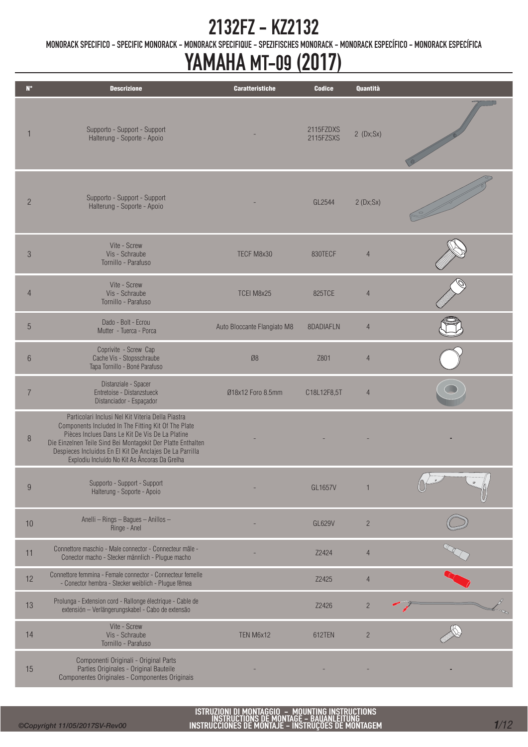MONORACK SPECIFICO - SPECIFIC MONORACK - MONORACK SPECIFIQUE - SPEZIFISCHES MONORACK - MONORACK ESPECÍFICO - MONORACK ESPECÍFICA

# YAMAHA MT-09 (2017)

| $\mathbf{N}^\circ$ | <b>Descrizione</b>                                                                                                                                                                                                                                                                                                                       | <b>Caratteristiche</b>      | <b>Codice</b>          | <b>Quantità</b> |  |
|--------------------|------------------------------------------------------------------------------------------------------------------------------------------------------------------------------------------------------------------------------------------------------------------------------------------------------------------------------------------|-----------------------------|------------------------|-----------------|--|
| 1                  | Supporto - Support - Support<br>Halterung - Soporte - Apoio                                                                                                                                                                                                                                                                              |                             | 2115FZDXS<br>2115FZSXS | 2(Dx;Sx)        |  |
| $\overline{2}$     | Supporto - Support - Support<br>Halterung - Soporte - Apoio                                                                                                                                                                                                                                                                              |                             | GL2544                 | 2(Dx;Sx)        |  |
| 3                  | Vite - Screw<br>Vis - Schraube<br>Tornillo - Parafuso                                                                                                                                                                                                                                                                                    | TECF M8x30                  | 830TECF                | $\overline{4}$  |  |
| $\overline{4}$     | Vite - Screw<br>Vis - Schraube<br>Tornillo - Parafuso                                                                                                                                                                                                                                                                                    | TCEI M8x25                  | <b>825TCE</b>          | $\overline{4}$  |  |
| 5                  | Dado - Bolt - Ecrou<br>Mutter - Tuerca - Porca                                                                                                                                                                                                                                                                                           | Auto Bloccante Flangiato M8 | 8DADIAFLN              | $\overline{4}$  |  |
| $6\phantom{1}6$    | Coprivite - Screw Cap<br>Cache Vis - Stopsschraube<br>Tapa Tornillo - Boné Parafuso                                                                                                                                                                                                                                                      | Ø8                          | Z801                   | $\overline{4}$  |  |
| $\overline{7}$     | Distanziale - Spacer<br>Entretoise - Distanzstueck<br>Distanciador - Espaçador                                                                                                                                                                                                                                                           | Ø18x12 Foro 8.5mm           | C18L12F8,5T            | $\overline{4}$  |  |
| 8                  | Particolari Inclusi Nel Kit Viteria Della Piastra<br>Components Included In The Fitting Kit Of The Plate<br>Pièces Inclues Dans Le Kit De Vis De La Platine<br>Die Einzelnen Teile Sind Bei Montagekit Der Platte Enthalten<br>Despieces Incluidos En El Kit De Anclajes De La Parrilla<br>Explodiu Incluído No Kit As Âncoras Da Grelha |                             |                        |                 |  |
| 9                  | Supporto - Support - Support<br>Halterung - Soporte - Apoio                                                                                                                                                                                                                                                                              |                             | GL1657V                |                 |  |
| 10                 | Anelli - Rings - Bagues - Anillos -<br>Ringe - Anel                                                                                                                                                                                                                                                                                      |                             | <b>GL629V</b>          | $\overline{2}$  |  |
| 11                 | Connettore maschio - Male connector - Connecteur mâle -<br>Conector macho - Stecker männlich - Plugue macho                                                                                                                                                                                                                              |                             | Z2424                  | $\overline{4}$  |  |
| 12                 | Connettore femmina - Female connector - Connecteur femelle<br>- Conector hembra - Stecker weiblich - Plugue fêmea                                                                                                                                                                                                                        |                             | Z2425                  | $\overline{4}$  |  |
| 13                 | Prolunga - Extension cord - Rallonge électrique - Cable de<br>extensión - Verlängerungskabel - Cabo de extensão                                                                                                                                                                                                                          |                             | Z2426                  | $\overline{2}$  |  |
| 14                 | Vite - Screw<br>Vis - Schraube<br>Tornillo - Parafuso                                                                                                                                                                                                                                                                                    | TEN M6x12                   | 612TEN                 | $\overline{2}$  |  |
| 15                 | Componenti Originali - Original Parts<br>Parties Originales - Original Bauteile<br>Componentes Originales - Componentes Originais                                                                                                                                                                                                        |                             |                        |                 |  |

Ī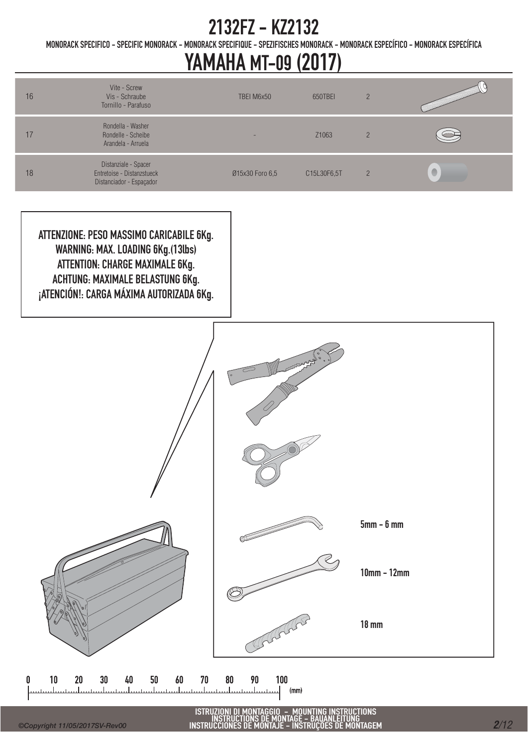MONORACK SPECIFICO - SPECIFIC MONORACK - MONORACK SPECIFIQUE - SPEZIFISCHES MONORACK - MONORACK ESPECÍFICO - MONORACK ESPECÍFICA

# YAMAHA MT-09 (2017)

| 16 | Vite - Screw<br>Vis - Schraube<br>Tornillo - Parafuso                          | TBEI M6x50      | 650TBEI           | $\Omega$ |  |
|----|--------------------------------------------------------------------------------|-----------------|-------------------|----------|--|
|    | Rondella - Washer<br>Rondelle - Scheibe<br>Arandela - Arruela                  |                 | Z <sub>1063</sub> |          |  |
| 18 | Distanziale - Spacer<br>Entretoise - Distanzstueck<br>Distanciador - Espaçador | Ø15x30 Foro 6,5 | C15L30F6,5T       | $\Omega$ |  |

ATTENZIONE: PESO MASSIMO CARICABILE 6Kg. WARNING: MAX. LOADING 6Kg.(13lbs) ATTENTION: CHARGE MAXIMALE 6Kg. ACHTUNG: MAXIMALE BELASTUNG 6Kg. ¡ATENCIÓN!: CARGA MÁXIMA AUTORIZADA 6Kg.



ISTRUZIONI DI MONTAGGIO - MOUNTING INSTRUCTIONS INSTRUCTIONS DE MONTAGE - BAUANLEITUNG INSTRUCCIONES DE MONTAJE - INSTRUÇÕES DE MONTAGEM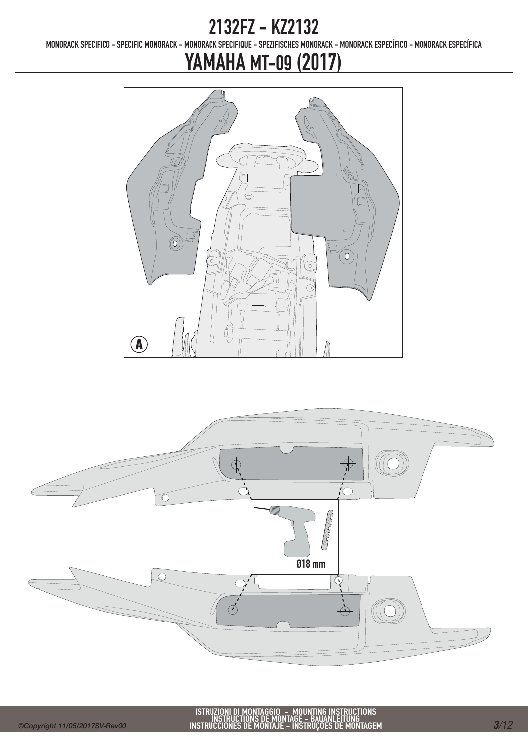MONORACK SPECIFICO - SPECIFIC MONORACK - MONORACK SPECIFIQUE - SPEZIFISCHES MONORACK - MONORACK ESPECÍFICO - MONORACK ESPECÍFICA



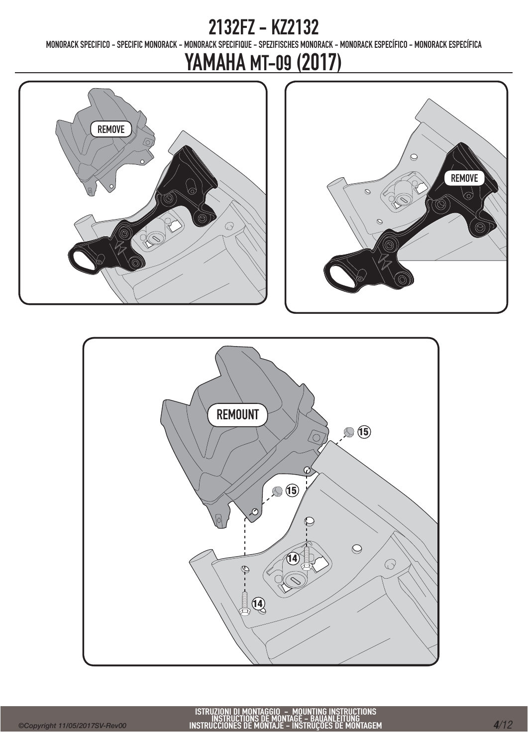MONORACK SPECIFICO - SPECIFIC MONORACK - MONORACK SPECIFIQUE - SPEZIFISCHES MONORACK - MONORACK ESPECÍFICO - MONORACK ESPECÍFICA





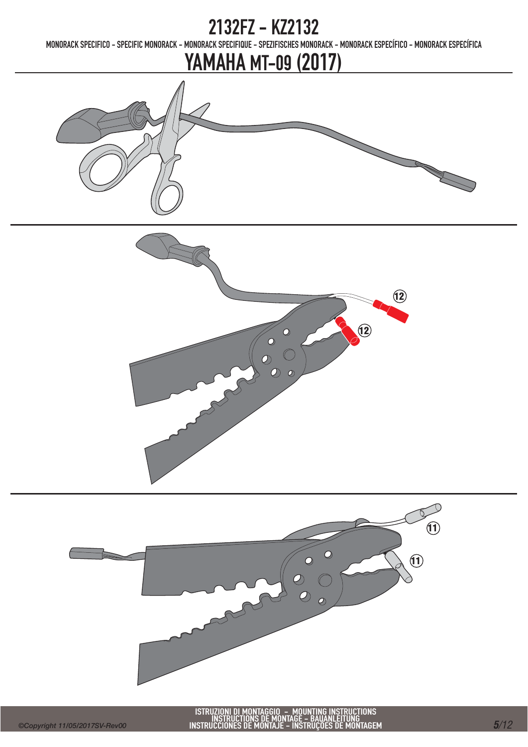

MONORACK SPECIFICO - SPECIFIC MONORACK - MONORACK SPECIFIQUE - SPEZIFISCHES MONORACK - MONORACK ESPECÍFICO - MONORACK ESPECÍFICA

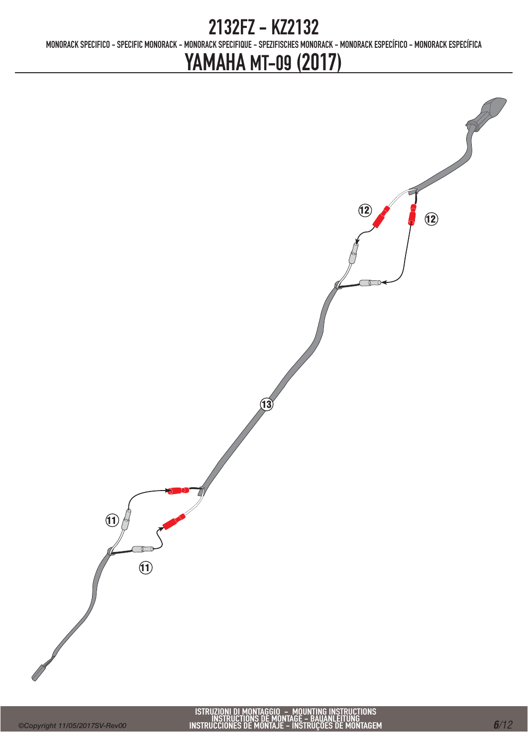MONORACK SPECIFICO - SPECIFIC MONORACK - MONORACK SPECIFIQUE - SPEZIFISCHES MONORACK - MONORACK ESPECÍFICO - MONORACK ESPECÍFICA

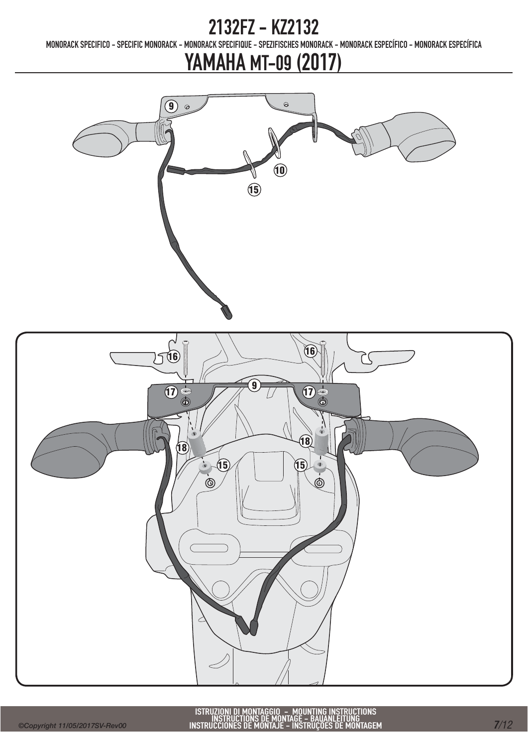MONORACK SPECIFICO - SPECIFIC MONORACK - MONORACK SPECIFIQUE - SPEZIFISCHES MONORACK - MONORACK ESPECÍFICO - MONORACK ESPECÍFICA

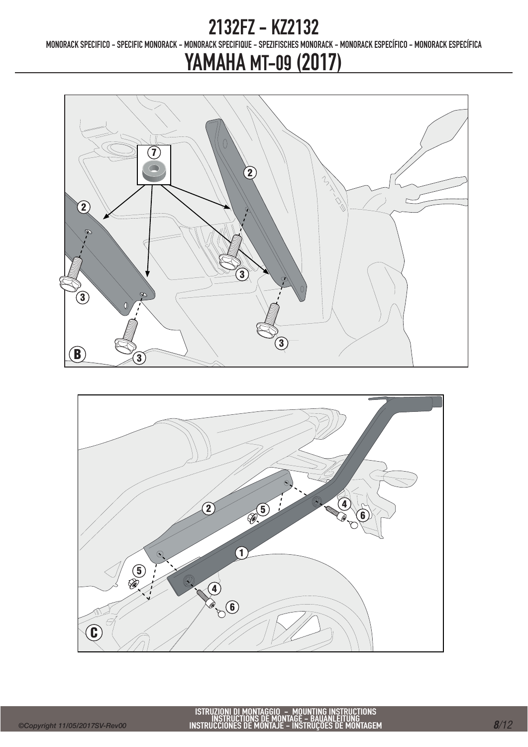MONORACK SPECIFICO - SPECIFIC MONORACK - MONORACK SPECIFIQUE - SPEZIFISCHES MONORACK - MONORACK ESPECÍFICO - MONORACK ESPECÍFICA



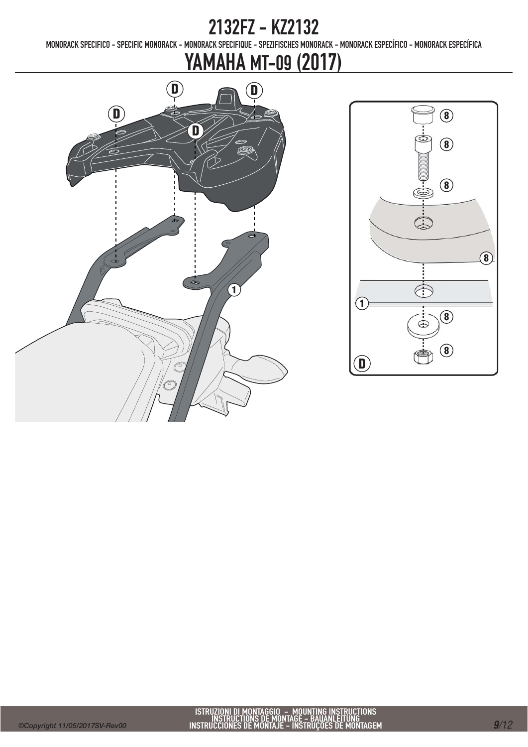MONORACK SPECIFICO - SPECIFIC MONORACK - MONORACK SPECIFIQUE - SPEZIFISCHES MONORACK - MONORACK ESPECÍFICO - MONORACK ESPECÍFICA



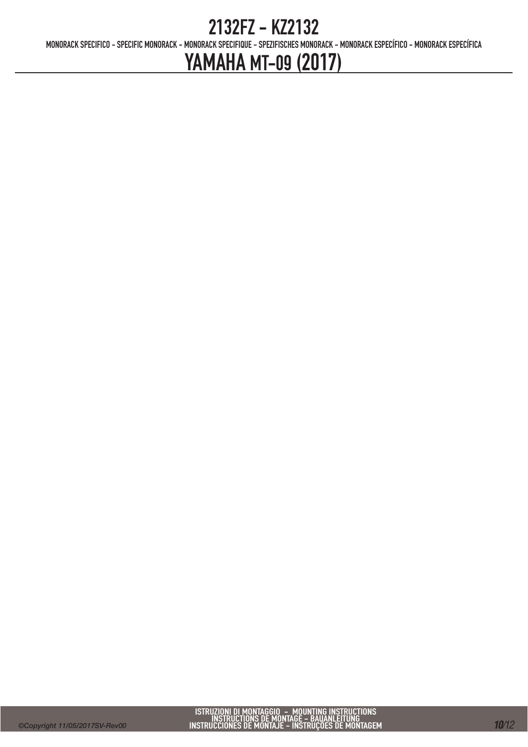MONORACK SPECIFICO - SPECIFIC MONORACK - MONORACK SPECIFIQUE - SPEZIFISCHES MONORACK - MONORACK ESPECÍFICO - MONORACK ESPECÍFICA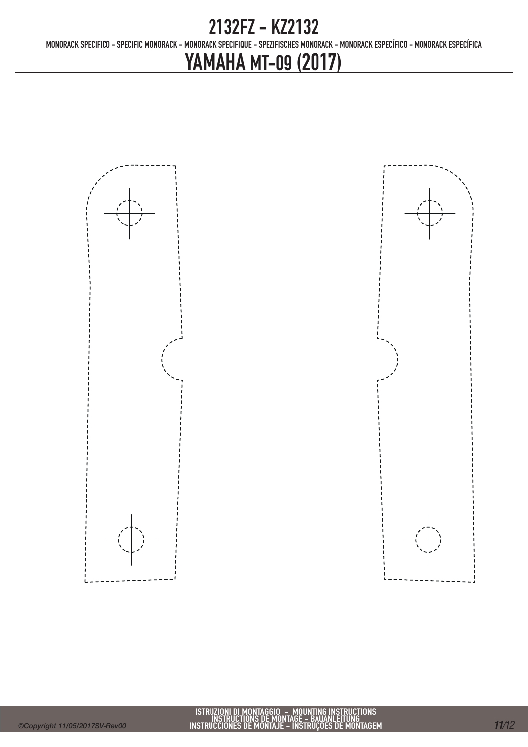MONORACK SPECIFICO - SPECIFIC MONORACK - MONORACK SPECIFIQUE - SPEZIFISCHES MONORACK - MONORACK ESPECÍFICO - MONORACK ESPECÍFICA